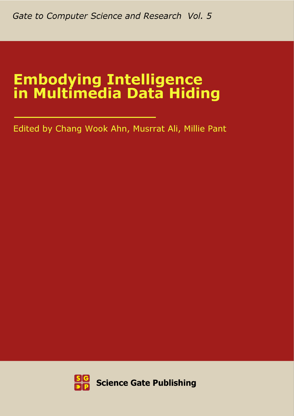# **Embodying Intelligence<br>in Multimedia Data Hiding**

Edited by Chang Wook Ahn, Musrrat Ali, Millie Pant

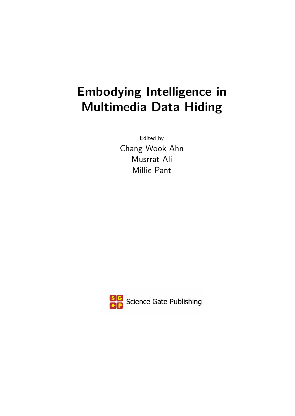# **Embodying Intelligence in Multimedia Data Hiding**

Edited by Chang Wook Ahn Musrrat Ali Millie Pant

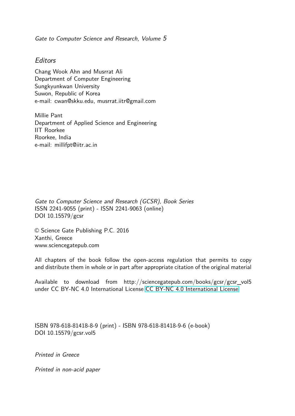Gate to Computer Science and Research, Volume 5

#### **Editors**

Chang Wook Ahn and Musrrat Ali Department of Computer Engineering Sungkyunkwan University Suwon, Republic of Korea e-mail: cwan@skku.edu, musrrat.iitr@gmail.com

Millie Pant Department of Applied Science and Engineering IIT Roorkee Roorkee, India e-mail: millifpt@iitr.ac.in

Gate to Computer Science and Research (GCSR), Book Series ISSN 2241-9055 (print) - ISSN 2241-9063 (online) DOI 10.15579/gcsr

© Science Gate Publishing P.C. 2016 Xanthi, Greece www.sciencegatepub.com

All chapters of the book follow the open-access regulation that permits to copy and distribute them in whole or in part after appropriate citation of the original material

Available to download from http://sciencegatepub.com/books/gcsr/gcsr\_vol5 under CC BY-NC 4.0 International License [CC BY-NC 4.0 International License](http://creativecommons.org/licenses/by-nc/4.0/)

ISBN 978-618-81418-8-9 (print) - ISBN 978-618-81418-9-6 (e-book) DOI 10.15579/gcsr.vol5

Printed in Greece

Printed in non-acid paper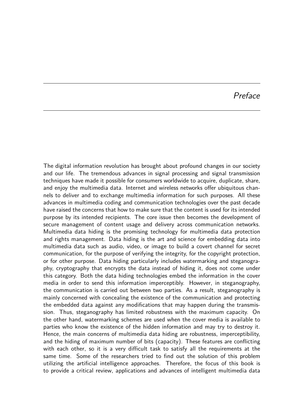### Preface

The digital information revolution has brought about profound changes in our society and our life. The tremendous advances in signal processing and signal transmission techniques have made it possible for consumers worldwide to acquire, duplicate, share, and enjoy the multimedia data. Internet and wireless networks offer ubiquitous channels to deliver and to exchange multimedia information for such purposes. All these advances in multimedia coding and communication technologies over the past decade have raised the concerns that how to make sure that the content is used for its intended purpose by its intended recipients. The core issue then becomes the development of secure management of content usage and delivery across communication networks. Multimedia data hiding is the promising technology for multimedia data protection and rights management. Data hiding is the art and science for embedding data into multimedia data such as audio, video, or image to build a covert channel for secret communication, for the purpose of verifying the integrity, for the copyright protection, or for other purpose. Data hiding particularly includes watermarking and steganography, cryptography that encrypts the data instead of hiding it, does not come under this category. Both the data hiding technologies embed the information in the cover media in order to send this information imperceptibly. However, in steganography, the communication is carried out between two parties. As a result, steganography is mainly concerned with concealing the existence of the communication and protecting the embedded data against any modifications that may happen during the transmission. Thus, steganography has limited robustness with the maximum capacity. On the other hand, watermarking schemes are used when the cover media is available to parties who know the existence of the hidden information and may try to destroy it. Hence, the main concerns of multimedia data hiding are robustness, imperceptibility, and the hiding of maximum number of bits (capacity). These features are conflicting with each other, so it is a very difficult task to satisfy all the requirements at the same time. Some of the researchers tried to find out the solution of this problem utilizing the artificial intelligence approaches. Therefore, the focus of this book is to provide a critical review, applications and advances of intelligent multimedia data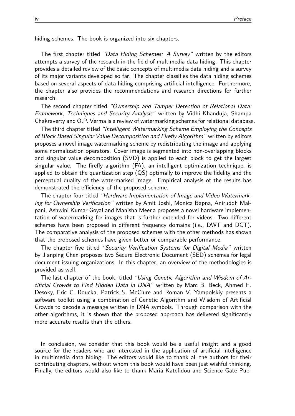hiding schemes. The book is organized into six chapters.

The first chapter titled "Data Hiding Schemes: A Survey" written by the editors attempts a survey of the research in the field of multimedia data hiding. This chapter provides a detailed review of the basic concepts of multimedia data hiding and a survey of its major variants developed so far. The chapter classifies the data hiding schemes based on several aspects of data hiding comprising artificial intelligence. Furthermore, the chapter also provides the recommendations and research directions for further research.

The second chapter titled "Ownership and Tamper Detection of Relational Data: Framework, Techniques and Security Analysis" written by Vidhi Khanduja, Shampa Chakraverty and O.P. Verma is a review of watermarking schemes for relational database.

The third chapter titled "Intelligent Watermarking Scheme Employing the Concepts of Block Based Singular Value Decomposition and Firefly Algorithm" written by editors proposes a novel image watermarking scheme by redistributing the image and applying some normalization operators. Cover image is segmented into non-overlapping blocks and singular value decomposition (SVD) is applied to each block to get the largest singular value. The firefly algorithm (FA), an intelligent optimization technique, is applied to obtain the quantization step (QS) optimally to improve the fidelity and the perceptual quality of the watermarked image. Empirical analysis of the results has demonstrated the efficiency of the proposed scheme.

The chapter four titled "Hardware Implementation of Image and Video Watermarking for Ownership Verification" written by Amit Joshi, Monica Bapna, Aniruddh Malpani, Ashwini Kumar Goyal and Manisha Meena proposes a novel hardware implementation of watermarking for images that is further extended for videos. Two different schemes have been proposed in different frequency domains (i.e., DWT and DCT). The comparative analysis of the proposed schemes with the other methods has shown that the proposed schemes have given better or comparable performance.

The chapter five titled "Security Verification Systems for Digital Media" written by Jianping Chen proposes two Secure Electronic Document (SED) schemes for legal document issuing organizations. In this chapter, an overview of the methodologies is provided as well.

The last chapter of the book, titled "Using Genetic Algorithm and Wisdom of Artificial Crowds to Find Hidden Data in DNA" written by Marc B. Beck, Ahmed H. Desoky, Eric C. Roucka, Patrick S. McClure and Roman V. Yampolskiy presents a software toolkit using a combination of Genetic Algorithm and Wisdom of Artificial Crowds to decode a message written in DNA symbols. Through comparison with the other algorithms, it is shown that the proposed approach has delivered significantly more accurate results than the others.

In conclusion, we consider that this book would be a useful insight and a good source for the readers who are interested in the application of artificial intelligence in multimedia data hiding. The editors would like to thank all the authors for their contributing chapters, without whom this book would have been just wishful thinking. Finally, the editors would also like to thank Maria Katefidou and Science Gate Pub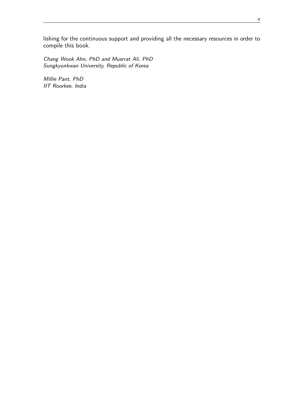lishing for the continuous support and providing all the necessary resources in order to compile this book.

Chang Wook Ahn, PhD and Musrrat Ali, PhD Sungkyunkwan University, Republic of Korea

Millie Pant, PhD IIT Roorkee, India